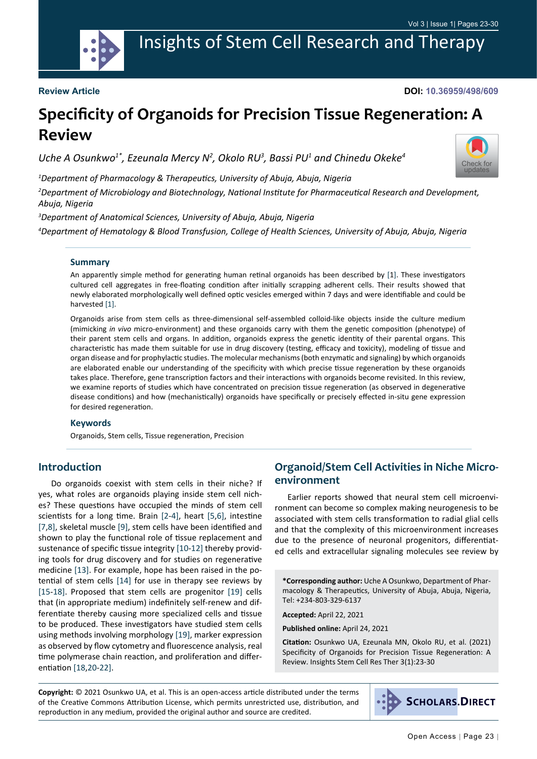

Insights of Stem Cell Research and Therapy

#### **Review Article**

**DOI: 10.36959/498/609**

# **Specificity of Organoids for Precision Tissue Regeneration: A Review**

Uche A Osunkwo<sup>1\*</sup>, Ezeunala Mercy N<sup>2</sup>, Okolo RU<sup>3</sup>, Bassi PU<sup>1</sup> and Chinedu Okeke<sup>4</sup>

*1 Department of Pharmacology & Therapeutics, University of Abuja, Abuja, Nigeria*

*2 Department of Microbiology and Biotechnology, National Institute for Pharmaceutical Research and Development, Abuja, Nigeria*

*3 Department of Anatomical Sciences, University of Abuja, Abuja, Nigeria*

*4 Department of Hematology & Blood Transfusion, College of Health Sciences, University of Abuja, Abuja, Nigeria*

#### **Summary**

An apparently simple method for generating human retinal organoids has been described by [1]. These investigators cultured cell aggregates in free-floating condition after initially scrapping adherent cells. Their results showed that newly elaborated morphologically well defined optic vesicles emerged within 7 days and were identifiable and could be harvested [\[1\]](#page-4-9).

Organoids arise from stem cells as three-dimensional self-assembled colloid-like objects inside the culture medium (mimicking *in vivo* micro-environment) and these organoids carry with them the genetic composition (phenotype) of their parent stem cells and organs. In addition, organoids express the genetic identity of their parental organs. This characteristic has made them suitable for use in drug discovery (testing, efficacy and toxicity), modeling of tissue and organ disease and for prophylactic studies. The molecular mechanisms (both enzymatic and signaling) by which organoids are elaborated enable our understanding of the specificity with which precise tissue regeneration by these organoids takes place. Therefore, gene transcription factors and their interactions with organoids become revisited. In this review, we examine reports of studies which have concentrated on precision tissue regeneration (as observed in degenerative disease conditions) and how (mechanistically) organoids have specifically or precisely effected in-situ gene expression for desired regeneration.

#### **Keywords**

Organoids, Stem cells, Tissue regeneration, Precision

#### **Introduction**

Do organoids coexist with stem cells in their niche? If yes, what roles are organoids playing inside stem cell niches? These questions have occupied the minds of stem cell scientists for a long time. Brain [[2-](#page-4-0)[4](#page-4-1)], heart [\[5](#page-4-2),[6\]](#page-4-3), intestine [[7,](#page-4-4)[8](#page-4-5)], skeletal muscle [[9\]](#page-4-6), stem cells have been identified and shown to play the functional role of tissue replacement and sustenance of specific tissue integrity [[10-](#page-4-7)[12](#page-4-8)] thereby providing tools for drug discovery and for studies on regenerative medicine [[13\]](#page-5-0). For example, hope has been raised in the potential of stem cells [\[14](#page-5-1)] for use in therapy see reviews by [[15-](#page-5-2)[18\]](#page-5-3). Proposed that stem cells are progenitor [[19\]](#page-5-4) cells that (in appropriate medium) indefinitely self-renew and differentiate thereby causing more specialized cells and tissue to be produced. These investigators have studied stem cells using methods involving morphology [[19\]](#page-5-4), marker expression as observed by flow cytometry and fluorescence analysis, real time polymerase chain reaction, and proliferation and differentiation [[18,](#page-5-3)[20](#page-5-5)[-22\]](#page-5-6).

## **Organoid/Stem Cell Activities in Niche Microenvironment**

Earlier reports showed that neural stem cell microenvironment can become so complex making neurogenesis to be associated with stem cells transformation to radial glial cells and that the complexity of this microenvironment increases due to the presence of neuronal progenitors, differentiated cells and extracellular signaling molecules see review by

**\*Corresponding author:** Uche A Osunkwo, Department of Pharmacology & Therapeutics, University of Abuja, Abuja, Nigeria, Tel: +234-803-329-6137

**Accepted:** April 22, 2021

**Published online:** April 24, 2021

**Citation:** Osunkwo UA, Ezeunala MN, Okolo RU, et al. (2021) Specificity of Organoids for Precision Tissue Regeneration: A Review. Insights Stem Cell Res Ther 3(1):23-30

**Copyright:** © 2021 Osunkwo UA, et al. This is an open-access article distributed under the terms of the Creative Commons Attribution License, which permits unrestricted use, distribution, and reproduction in any medium, provided the original author and source are credited.



[Check for](http://crossmark.crossref.org/dialog/?doi=10.36959/498/609&domain=pdf) updates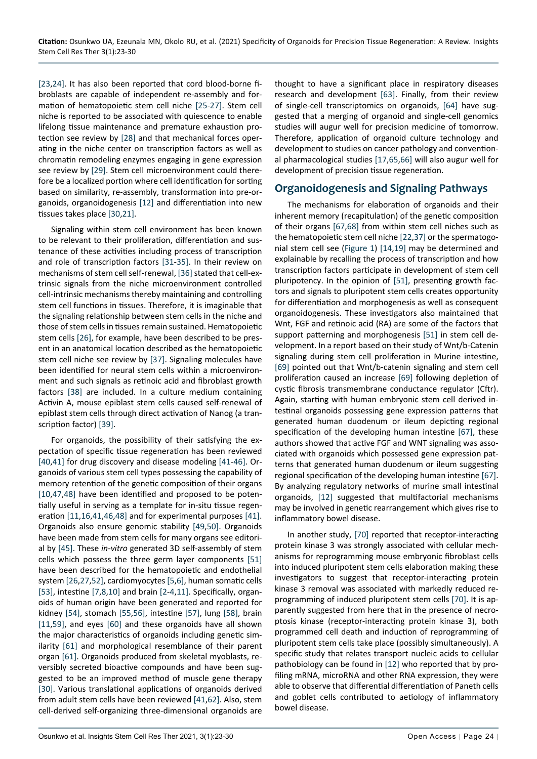[[23,](#page-5-10)[24](#page-5-11)]. It has also been reported that cord blood-borne fibroblasts are capable of independent re-assembly and formation of hematopoietic stem cell niche [[25-](#page-5-12)[27](#page-5-13)]. Stem cell niche is reported to be associated with quiescence to enable lifelong tissue maintenance and premature exhaustion protection see review by [\[28](#page-5-14)] and that mechanical forces operating in the niche center on transcription factors as well as chromatin remodeling enzymes engaging in gene expression see review by [\[29](#page-5-15)]. Stem cell microenvironment could therefore be a localized portion where cell identification for sorting based on similarity, re-assembly, transformation into pre-organoids, organoidogenesis [\[12\]](#page-4-8) and differentiation into new tissues takes place [\[30](#page-5-16),[21\]](#page-5-17).

Signaling within stem cell environment has been known to be relevant to their proliferation, differentiation and sustenance of these activities including process of transcription and role of transcription factors [[31-](#page-5-18)[35](#page-5-19)]. In their review on mechanisms of stem cell self-renewal, [\[36](#page-5-20)] stated that cell-extrinsic signals from the niche microenvironment controlled cell-intrinsic mechanisms thereby maintaining and controlling stem cell functions in tissues. Therefore, it is imaginable that the signaling relationship between stem cells in the niche and those of stem cells in tissues remain sustained. Hematopoietic stem cells [\[26](#page-5-21)], for example, have been described to be present in an anatomical location described as the hematopoietic stem cell niche see review by [\[37\]](#page-5-8). Signaling molecules have been identified for neural stem cells within a microenvironment and such signals as retinoic acid and fibroblast growth factors [\[38](#page-5-22)] are included. In a culture medium containing Activin A, mouse epiblast stem cells caused self-renewal of epiblast stem cells through direct activation of Nanog (a transcription factor) [[39\]](#page-5-23).

For organoids, the possibility of their satisfying the expectation of specific tissue regeneration has been reviewed [[40,](#page-5-24)[41](#page-5-25)] for drug discovery and disease modeling [[41-](#page-5-25)[46](#page-5-26)]. Organoids of various stem cell types possessing the capability of memory retention of the genetic composition of their organs [[10,](#page-4-7)[47](#page-5-27),[48](#page-5-28)] have been identified and proposed to be potentially useful in serving as a template for in-situ tissue regeneration [\[11,](#page-4-10)[16](#page-5-29),[41](#page-5-25)[,46](#page-5-26),[48](#page-5-28)] and for experimental purposes [[41\]](#page-5-25). Organoids also ensure genomic stability [[49](#page-5-30)[,50\]](#page-5-31). Organoids have been made from stem cells for many organs see editorial by [[45\]](#page-5-32). These *in-vitro* generated 3D self-assembly of stem cells which possess the three germ layer components [\[51](#page-5-9)] have been described for the hematopoietic and endothelial system [\[26](#page-5-21),[27](#page-5-13),[52\]](#page-5-33), cardiomyocytes [\[5](#page-4-2),[6](#page-4-3)], human somatic cells [[53\]](#page-5-34), intestine [[7](#page-4-4),[8,](#page-4-5)[10](#page-4-7)] and brain [\[2](#page-4-0)[-4](#page-4-1),[11](#page-4-10)]. Specifically, organoids of human origin have been generated and reported for kidney [[54\]](#page-6-8), stomach [\[55](#page-6-9),[56\]](#page-6-10), intestine [\[57](#page-6-11)], lung [[58\]](#page-6-12), brain [[11,](#page-4-10)[59](#page-6-13)], and eyes [[60\]](#page-6-14) and these organoids have all shown the major characteristics of organoids including genetic similarity [[61\]](#page-6-15) and morphological resemblance of their parent organ [[61\]](#page-6-15). Organoids produced from skeletal myoblasts, reversibly secreted bioactive compounds and have been suggested to be an improved method of muscle gene therapy [[30\]](#page-5-16). Various translational applications of organoids derived from adult stem cells have been reviewed [[41](#page-5-25)[,62](#page-6-16)]. Also, stem cell-derived self-organizing three-dimensional organoids are thought to have a significant place in respiratory diseases research and development [\[63](#page-6-0)]. Finally, from their review of single-cell transcriptomics on organoids, [\[64\]](#page-6-1) have suggested that a merging of organoid and single-cell genomics studies will augur well for precision medicine of tomorrow. Therefore, application of organoid culture technology and development to studies on cancer pathology and conventional pharmacological studies [[17](#page-5-7)[,65](#page-6-2),[66](#page-6-3)] will also augur well for development of precision tissue regeneration.

## **Organoidogenesis and Signaling Pathways**

The mechanisms for elaboration of organoids and their inherent memory (recapitulation) of the genetic composition of their organs [\[67](#page-6-4),[68](#page-6-5)] from within stem cell niches such as the hematopoietic stem cell niche [[22,](#page-5-6)[37](#page-5-8)] or the spermatogonial stem cell see [\(Figure 1](#page-2-0)) [\[14,](#page-5-1)[19](#page-5-4)] may be determined and explainable by recalling the process of transcription and how transcription factors participate in development of stem cell pluripotency. In the opinion of [\[51](#page-5-9)], presenting growth factors and signals to pluripotent stem cells creates opportunity for differentiation and morphogenesis as well as consequent organoidogenesis. These investigators also maintained that Wnt, FGF and retinoic acid (RA) are some of the factors that support patterning and morphogenesis [\[51](#page-5-9)] in stem cell development. In a report based on their study of Wnt/b-Catenin signaling during stem cell proliferation in Murine intestine, [[69\]](#page-6-6) pointed out that Wnt/b-catenin signaling and stem cell proliferation caused an increase [[69\]](#page-6-6) following depletion of cystic fibrosis transmembrane conductance regulator (Cftr). Again, starting with human embryonic stem cell derived intestinal organoids possessing gene expression patterns that generated human duodenum or ileum depicting regional specification of the developing human intestine [\[67](#page-6-4)], these authors showed that active FGF and WNT signaling was associated with organoids which possessed gene expression patterns that generated human duodenum or ileum suggesting regional specification of the developing human intestine [\[67](#page-6-4)]. By analyzing regulatory networks of murine small intestinal organoids, [[12\]](#page-4-8) suggested that multifactorial mechanisms may be involved in genetic rearrangement which gives rise to inflammatory bowel disease.

In another study, [[70\]](#page-6-7) reported that receptor-interacting protein kinase 3 was strongly associated with cellular mechanisms for reprogramming mouse embryonic fibroblast cells into induced pluripotent stem cells elaboration making these investigators to suggest that receptor-interacting protein kinase 3 removal was associated with markedly reduced reprogramming of induced pluripotent stem cells [[70\]](#page-6-7). It is apparently suggested from here that in the presence of necroptosis kinase (receptor-interacting protein kinase 3), both programmed cell death and induction of reprogramming of pluripotent stem cells take place (possibly simultaneously). A specific study that relates transport nucleic acids to cellular pathobiology can be found in [[12\]](#page-4-8) who reported that by profiling mRNA, microRNA and other RNA expression, they were able to observe that differential differentiation of Paneth cells and goblet cells contributed to aetiology of inflammatory bowel disease.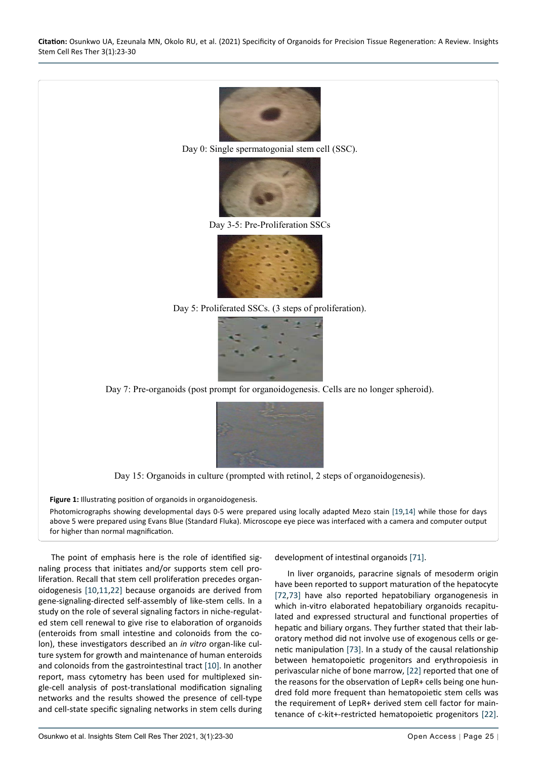

Day 0: Single spermatogonial stem cell (SSC).



Day 3-5: Pre-Proliferation SSCs



Day 5: Proliferated SSCs. (3 steps of proliferation).



Day 7: Pre-organoids (post prompt for organoidogenesis. Cells are no longer spheroid).



Day 15: Organoids in culture (prompted with retinol, 2 steps of organoidogenesis).

Figure 1: Illustrating position of organoids in organoidogenesis. Photomicrographs showing developmental days 0-5 were prepared using locally adapted Mezo stain [[19,](#page-5-4)[14](#page-5-1)] while those for days above 5 were prepared using Evans Blue (Standard Fluka). Microscope eye piece was interfaced with a camera and computer output for higher than normal magnification.

The point of emphasis here is the role of identified signaling process that initiates and/or supports stem cell proliferation. Recall that stem cell proliferation precedes organoidogenesis [\[10](#page-4-7),[11](#page-4-10)[,22\]](#page-5-6) because organoids are derived from gene-signaling-directed self-assembly of like-stem cells. In a study on the role of several signaling factors in niche-regulated stem cell renewal to give rise to elaboration of organoids (enteroids from small intestine and colonoids from the colon), these investigators described an *in vitro* organ-like culture system for growth and maintenance of human enteroids and colonoids from the gastrointestinal tract [[10](#page-4-7)]. In another report, mass cytometry has been used for multiplexed single-cell analysis of post-translational modification signaling networks and the results showed the presence of cell-type and cell-state specific signaling networks in stem cells during

<span id="page-2-0"></span>Ĩ

development of intestinal organoids [\[71](#page-6-17)].

In liver organoids, paracrine signals of mesoderm origin have been reported to support maturation of the hepatocyte [[72](#page-6-18)[,73\]](#page-6-19) have also reported hepatobiliary organogenesis in which in-vitro elaborated hepatobiliary organoids recapitulated and expressed structural and functional properties of hepatic and biliary organs. They further stated that their laboratory method did not involve use of exogenous cells or genetic manipulation [\[73](#page-6-19)]. In a study of the causal relationship between hematopoietic progenitors and erythropoiesis in perivascular niche of bone marrow, [[22](#page-5-6)] reported that one of the reasons for the observation of LepR+ cells being one hundred fold more frequent than hematopoietic stem cells was the requirement of LepR+ derived stem cell factor for maintenance of c-kit+-restricted hematopoietic progenitors [\[22](#page-5-6)].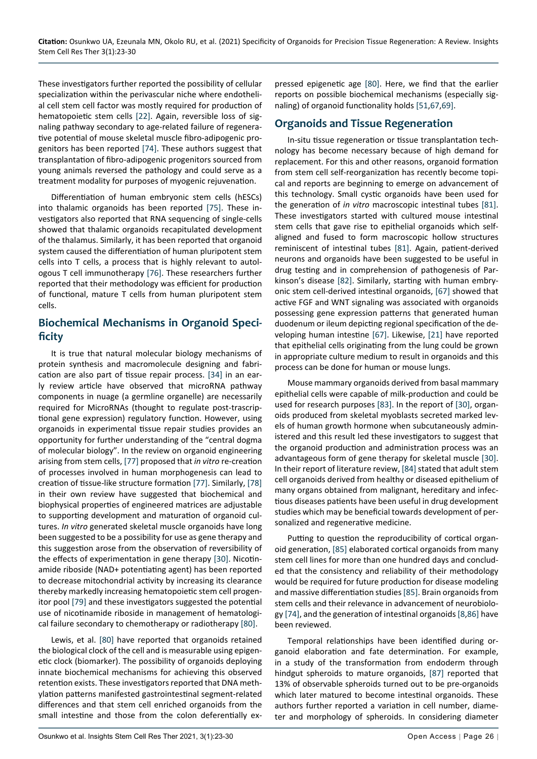These investigators further reported the possibility of cellular specialization within the perivascular niche where endothelial cell stem cell factor was mostly required for production of hematopoietic stem cells [[22\]](#page-5-6). Again, reversible loss of signaling pathway secondary to age-related failure of regenerative potential of mouse skeletal muscle fibro-adipogenic progenitors has been reported [[74\]](#page-6-26). These authors suggest that transplantation of fibro-adipogenic progenitors sourced from young animals reversed the pathology and could serve as a treatment modality for purposes of myogenic rejuvenation.

Differentiation of human embryonic stem cells (hESCs) into thalamic organoids has been reported [\[75](#page-6-29)]. These investigators also reported that RNA sequencing of single-cells showed that thalamic organoids recapitulated development of the thalamus. Similarly, it has been reported that organoid system caused the differentiation of human pluripotent stem cells into T cells, a process that is highly relevant to autologous T cell immunotherapy [[76](#page-6-30)]. These researchers further reported that their methodology was efficient for production of functional, mature T cells from human pluripotent stem cells.

## **Biochemical Mechanisms in Organoid Specificity**

It is true that natural molecular biology mechanisms of protein synthesis and macromolecule designing and fabrication are also part of tissue repair process. [\[34\]](#page-5-35) in an early review article have observed that microRNA pathway components in nuage (a germline organelle) are necessarily required for MicroRNAs (thought to regulate post-trascriptional gene expression) regulatory function. However, using organoids in experimental tissue repair studies provides an opportunity for further understanding of the "central dogma of molecular biology". In the review on organoid engineering arising from stem cells, [[77\]](#page-6-31) proposed that *in vitro* re-creation of processes involved in human morphogenesis can lead to creation of tissue-like structure formation [\[77](#page-6-31)]. Similarly, [\[78](#page-6-32)] in their own review have suggested that biochemical and biophysical properties of engineered matrices are adjustable to supporting development and maturation of organoid cultures. *In vitro* generated skeletal muscle organoids have long been suggested to be a possibility for use as gene therapy and this suggestion arose from the observation of reversibility of the effects of experimentation in gene therapy [\[30](#page-5-16)]. Nicotinamide riboside (NAD+ potentiating agent) has been reported to decrease mitochondrial activity by increasing its clearance thereby markedly increasing hematopoietic stem cell progenitor pool [[79\]](#page-6-33) and these investigators suggested the potential use of nicotinamide riboside in management of hematological failure secondary to chemotherapy or radiotherapy [\[80](#page-6-20)].

Lewis, et al. [\[80](#page-6-20)] have reported that organoids retained the biological clock of the cell and is measurable using epigenetic clock (biomarker). The possibility of organoids deploying innate biochemical mechanisms for achieving this observed retention exists. These investigators reported that DNA methylation patterns manifested gastrointestinal segment-related differences and that stem cell enriched organoids from the small intestine and those from the colon deferentially expressed epigenetic age [[80\]](#page-6-20). Here, we find that the earlier reports on possible biochemical mechanisms (especially signaling) of organoid functionality holds [[51,](#page-5-9)[67](#page-6-4),[69\]](#page-6-6).

## **Organoids and Tissue Regeneration**

In-situ tissue regeneration or tissue transplantation technology has become necessary because of high demand for replacement. For this and other reasons, organoid formation from stem cell self-reorganization has recently become topical and reports are beginning to emerge on advancement of this technology. Small cystic organoids have been used for the generation of *in vitro* macroscopic intestinal tubes [\[81](#page-6-21)]. These investigators started with cultured mouse intestinal stem cells that gave rise to epithelial organoids which selfaligned and fused to form macroscopic hollow structures reminiscent of intestinal tubes [[81\]](#page-6-21). Again, patient-derived neurons and organoids have been suggested to be useful in drug testing and in comprehension of pathogenesis of Parkinson's disease [\[82](#page-6-22)]. Similarly, starting with human embryonic stem cell-derived intestinal organoids, [[67](#page-6-4)] showed that active FGF and WNT signaling was associated with organoids possessing gene expression patterns that generated human duodenum or ileum depicting regional specification of the developing human intestine [[67\]](#page-6-4). Likewise, [[21\]](#page-5-17) have reported that epithelial cells originating from the lung could be grown in appropriate culture medium to result in organoids and this process can be done for human or mouse lungs.

Mouse mammary organoids derived from basal mammary epithelial cells were capable of milk-production and could be used for research purposes [\[83](#page-6-23)]. In the report of [\[30](#page-5-16)], organoids produced from skeletal myoblasts secreted marked levels of human growth hormone when subcutaneously administered and this result led these investigators to suggest that the organoid production and administration process was an advantageous form of gene therapy for skeletal muscle [\[30](#page-5-16)]. In their report of literature review, [\[84\]](#page-6-24) stated that adult stem cell organoids derived from healthy or diseased epithelium of many organs obtained from malignant, hereditary and infectious diseases patients have been useful in drug development studies which may be beneficial towards development of personalized and regenerative medicine.

Putting to question the reproducibility of cortical organoid generation, [[85\]](#page-6-25) elaborated cortical organoids from many stem cell lines for more than one hundred days and concluded that the consistency and reliability of their methodology would be required for future production for disease modeling and massive differentiation studies [\[85](#page-6-25)]. Brain organoids from stem cells and their relevance in advancement of neurobiology [[74](#page-6-26)], and the generation of intestinal organoids [[8,](#page-4-5)[86](#page-6-27)] have been reviewed.

Temporal relationships have been identified during organoid elaboration and fate determination. For example, in a study of the transformation from endoderm through hindgut spheroids to mature organoids, [\[87](#page-6-28)] reported that 13% of observable spheroids turned out to be pre-organoids which later matured to become intestinal organoids. These authors further reported a variation in cell number, diameter and morphology of spheroids. In considering diameter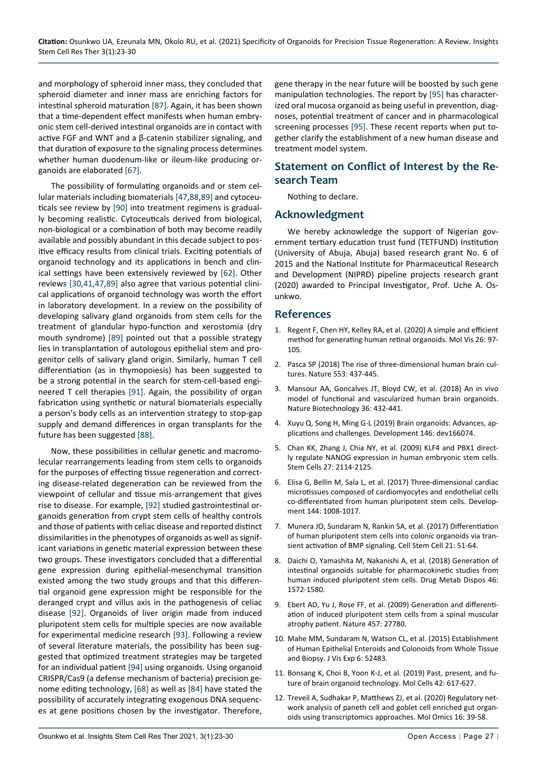and morphology of spheroid inner mass, they concluded that spheroid diameter and inner mass are enriching factors for intestinal spheroid maturation [\[87\]](#page-6-28). Again, it has been shown that a time-dependent effect manifests when human embryonic stem cell-derived intestinal organoids are in contact with active FGF and WNT and a β-catenin stabilizer signaling, and that duration of exposure to the signaling process determines whether human duodenum-like or ileum-like producing organoids are elaborated [[67\]](#page-6-4).

The possibility of formulating organoids and or stem cellular materials including biomaterials [[47](#page-5-27)[,88](#page-6-34),[89](#page-6-35)] and cytoceuticals see review by [\[90\]](#page-6-36) into treatment regimens is gradually becoming realistic. Cytoceuticals derived from biological, non-biological or a combination of both may become readily available and possibly abundant in this decade subject to positive efficacy results from clinical trials. Exciting potentials of organoid technology and its applications in bench and clinical settings have been extensively reviewed by [[62\]](#page-6-16). Other reviews [[30](#page-5-16),[41,](#page-5-25)[47](#page-5-27),[89\]](#page-6-35) also agree that various potential clinical applications of organoid technology was worth the effort in laboratory development. In a review on the possibility of developing salivary gland organoids from stem cells for the treatment of glandular hypo-function and xerostomia (dry mouth syndrome) [\[89](#page-6-35)] pointed out that a possible strategy lies in transplantation of autologous epithelial stem and progenitor cells of salivary gland origin. Similarly, human T cell differentiation (as in thymopoiesis) has been suggested to be a strong potential in the search for stem-cell-based engineered T cell therapies [[91\]](#page-6-37). Again, the possibility of organ fabrication using synthetic or natural biomaterials especially a person's body cells as an intervention strategy to stop-gap supply and demand differences in organ transplants for the future has been suggested [\[88\]](#page-6-34).

Now, these possibilities in cellular genetic and macromolecular rearrangements leading from stem cells to organoids for the purposes of effecting tissue regeneration and correcting disease-related degeneration can be reviewed from the viewpoint of cellular and tissue mis-arrangement that gives rise to disease. For example, [[92\]](#page-7-1) studied gastrointestinal organoids generation from crypt stem cells of healthy controls and those of patients with celiac disease and reported distinct dissimilarities in the phenotypes of organoids as well as significant variations in genetic material expression between these two groups. These investigators concluded that a differential gene expression during epithelial-mesenchymal transition existed among the two study groups and that this differential organoid gene expression might be responsible for the deranged crypt and villus axis in the pathogenesis of celiac disease [[92\]](#page-7-1). Organoids of liver origin made from induced pluripotent stem cells for multiple species are now available for experimental medicine research [\[93](#page-7-2)]. Following a review of several literature materials, the possibility has been suggested that optimized treatment strategies may be targeted for an individual patient [\[94](#page-7-3)] using organoids. Using organoid CRISPR/Cas9 (a defense mechanism of bacteria) precision genome editing technology, [[68\]](#page-6-5) as well as [[84\]](#page-6-24) have stated the possibility of accurately integrating exogenous DNA sequences at gene positions chosen by the investigator. Therefore,

gene therapy in the near future will be boosted by such gene manipulation technologies. The report by [\[95](#page-7-0)] has characterized oral mucosa organoid as being useful in prevention, diagnoses, potential treatment of cancer and in pharmacological screening processes [\[95](#page-7-0)]. These recent reports when put together clarify the establishment of a new human disease and treatment model system.

## **Statement on Conflict of Interest by the Research Team**

Nothing to declare.

## **Acknowledgment**

We hereby acknowledge the support of Nigerian government tertiary education trust fund (TETFUND) Institution (University of Abuja, Abuja) based research grant No. 6 of 2015 and the National Institute for Pharmaceutical Research and Development (NIPRD) pipeline projects research grant (2020) awarded to Principal Investigator, Prof. Uche A. Osunkwo.

#### **References**

- <span id="page-4-9"></span>1. [Regent F, Chen HY, Kelley RA, et al. \(2020\) A simple and efficient](https://www.ncbi.nlm.nih.gov/pmc/articles/PMC7051860/)  [method for generating human retinal organoids. Mol Vis 26: 97-](https://www.ncbi.nlm.nih.gov/pmc/articles/PMC7051860/) [105.](https://www.ncbi.nlm.nih.gov/pmc/articles/PMC7051860/)
- <span id="page-4-0"></span>2. [Pasca SP \(2018\) The rise of three-dimensional human brain cul](https://pubmed.ncbi.nlm.nih.gov/29364288/)[tures. Nature 553: 437-445.](https://pubmed.ncbi.nlm.nih.gov/29364288/)
- 3. [Mansour AA, Goncalves JT, Bloyd CW, et al. \(2018\) An in vivo](https://www.nature.com/articles/nbt.4127)  [model of functional and vascularized human brain organoids.](https://www.nature.com/articles/nbt.4127)  [Nature Biotechnology 36: 432-441.](https://www.nature.com/articles/nbt.4127)
- <span id="page-4-1"></span>4. [Xuyu Q, Song H, Ming G-L \(2019\) Brain organoids: Advances, ap](https://pubmed.ncbi.nlm.nih.gov/30992274/)[plications and challenges. Development 146: dev166074.](https://pubmed.ncbi.nlm.nih.gov/30992274/)
- <span id="page-4-2"></span>5. [Chan KK, Zhang J, Chia NY, et al. \(2009\) KLF4 and PBX1 direct](https://pubmed.ncbi.nlm.nih.gov/19522013/)[ly regulate NANOG expression in human embryonic stem cells.](https://pubmed.ncbi.nlm.nih.gov/19522013/)  [Stem Cells 27: 2114-2125.](https://pubmed.ncbi.nlm.nih.gov/19522013/)
- <span id="page-4-3"></span>6. [Elisa G, Bellin M, Sala L, et al. \(2017\) Three-dimensional cardiac](https://pubmed.ncbi.nlm.nih.gov/28279973/)  [microtissues composed of cardiomyocytes and endothelial cells](https://pubmed.ncbi.nlm.nih.gov/28279973/)  [co-differentiated from human pluripotent stem cells. Develop](https://pubmed.ncbi.nlm.nih.gov/28279973/)[ment 144: 1008-1017.](https://pubmed.ncbi.nlm.nih.gov/28279973/)
- <span id="page-4-4"></span>7. [Munera JO, Sundaram N, Rankin SA, et al. \(2017\) Differentiation](https://pubmed.ncbi.nlm.nih.gov/28648364/)  [of human pluripotent stem cells into colonic organoids via tran](https://pubmed.ncbi.nlm.nih.gov/28648364/)[sient activation of BMP signaling. Cell Stem Cell 21: 51-64.](https://pubmed.ncbi.nlm.nih.gov/28648364/)
- <span id="page-4-5"></span>8. [Daichi O, Yamashita M, Nakanishi A, et al. \(2018\) Generation of](https://pubmed.ncbi.nlm.nih.gov/29615438/)  [intestinal organoids suitable for pharmacokinetic studies from](https://pubmed.ncbi.nlm.nih.gov/29615438/)  [human induced pluripotent stem cells. Drug Metab Dispos 46:](https://pubmed.ncbi.nlm.nih.gov/29615438/)  [1572-1580.](https://pubmed.ncbi.nlm.nih.gov/29615438/)
- <span id="page-4-6"></span>9. Ebert AD, Yu J, Rose FF, et al. (2009) Generation and differentiation of induced pluripotent stem cells from a spinal muscular atrophy patient. Nature 457: 27780.
- <span id="page-4-7"></span>10. [Mahe MM, Sundaram N, Watson CL, et al. \(2015\) Establishment](https://pubmed.ncbi.nlm.nih.gov/25866936/)  [of Human Epithelial Enteroids and Colonoids from Whole Tissue](https://pubmed.ncbi.nlm.nih.gov/25866936/)  [and Biopsy. J Vis Exp 6: 52483.](https://pubmed.ncbi.nlm.nih.gov/25866936/)
- <span id="page-4-10"></span>11. [Bonsang K, Choi B, Yoon K-J, et al. \(2019\) Past, present, and fu](https://pubmed.ncbi.nlm.nih.gov/31564073/)[ture of brain organoid technology. Mol Cells 42: 617-627.](https://pubmed.ncbi.nlm.nih.gov/31564073/)
- <span id="page-4-8"></span>12. [Treveil A, Sudhakar P, Matthews ZJ, et al. \(2020\) Regulatory net](https://pubs.rsc.org/en/content/articlehtml/2020/mo/c9mo00130a)[work analysis of paneth cell and goblet cell enriched gut organ](https://pubs.rsc.org/en/content/articlehtml/2020/mo/c9mo00130a)[oids using transcriptomics approaches. Mol Omics 16: 39-58.](https://pubs.rsc.org/en/content/articlehtml/2020/mo/c9mo00130a)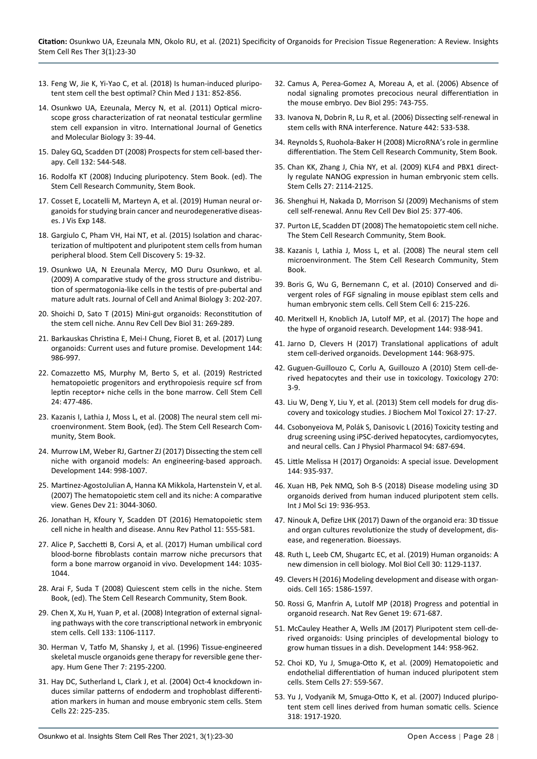- <span id="page-5-0"></span>13. Feng W, Jie K, Yi-Yao C, et al. (2018) Is human-induced pluripotent stem cell the best optimal? Chin Med J 131: 852-856.
- <span id="page-5-1"></span>14. Osunkwo UA, Ezeunala, Mercy N, et al. (2011) Optical microscope gross characterization of rat neonatal testicular germline stem cell expansion in vitro. International Journal of Genetics and Molecular Biology 3: 39-44.
- <span id="page-5-2"></span>15. [Daley GQ, Scadden DT \(2008\) Prospects for stem cell-based ther](https://pubmed.ncbi.nlm.nih.gov/18295571/)[apy. Cell 132: 544-548.](https://pubmed.ncbi.nlm.nih.gov/18295571/)
- <span id="page-5-29"></span>16. [Rodolfa KT \(2008\) Inducing pluripotency. Stem Book. \(ed\). The](https://www.ncbi.nlm.nih.gov/books/NBK27062/)  [Stem Cell Research Community, Stem Book.](https://www.ncbi.nlm.nih.gov/books/NBK27062/)
- <span id="page-5-7"></span>17. [Cosset E, Locatelli M, Marteyn A, et al. \(2019\) Human neural or](https://pubmed.ncbi.nlm.nih.gov/31305527/)[ganoids for studying brain cancer and neurodegenerative diseas](https://pubmed.ncbi.nlm.nih.gov/31305527/)[es. J Vis Exp 148.](https://pubmed.ncbi.nlm.nih.gov/31305527/)
- <span id="page-5-3"></span>18. [Gargiulo C, Pham VH, Hai NT, et al. \(2015\) Isolation and charac](https://www.scirp.org/journal/paperinformation.aspx?paperid=58449)[terization of multipotent and pluripotent stem cells from human](https://www.scirp.org/journal/paperinformation.aspx?paperid=58449)  [peripheral blood. Stem Cell Discovery 5: 19-32.](https://www.scirp.org/journal/paperinformation.aspx?paperid=58449)
- <span id="page-5-4"></span>19. Osunkwo UA, N Ezeunala Mercy, MO Duru Osunkwo, et al. (2009) A comparative study of the gross structure and distribution of spermatogonia-like cells in the testis of pre-pubertal and mature adult rats. Journal of Cell and Animal Biology 3: 202-207.
- <span id="page-5-5"></span>20. [Shoichi D, Sato T \(2015\) Mini-gut organoids: Reconstitution of](https://pubmed.ncbi.nlm.nih.gov/26436704/)  [the stem cell niche. Annu Rev Cell Dev Biol 31: 269-289.](https://pubmed.ncbi.nlm.nih.gov/26436704/)
- <span id="page-5-17"></span>21. [Barkauskas Christina E, Mei-I Chung, Fioret B, et al. \(2017\) Lung](https://pubmed.ncbi.nlm.nih.gov/28292845/)  [organoids: Current uses and future promise. Development 144:](https://pubmed.ncbi.nlm.nih.gov/28292845/)  [986-997.](https://pubmed.ncbi.nlm.nih.gov/28292845/)
- <span id="page-5-6"></span>22. [Comazzetto MS, Murphy M, Berto S, et al. \(2019\) Restricted](https://www.mendeley.com/catalogue/326149cf-5fd1-3362-9e7c-f5c97cb83e2f/)  [hematopoietic progenitors and erythropoiesis require scf from](https://www.mendeley.com/catalogue/326149cf-5fd1-3362-9e7c-f5c97cb83e2f/)  [leptin receptor+ niche cells in the bone marrow. Cell Stem Cell](https://www.mendeley.com/catalogue/326149cf-5fd1-3362-9e7c-f5c97cb83e2f/)  [24: 477-486.](https://www.mendeley.com/catalogue/326149cf-5fd1-3362-9e7c-f5c97cb83e2f/)
- <span id="page-5-10"></span>23. [Kazanis I, Lathia J, Moss L, et al. \(2008\) The neural stem cell mi](https://www.stembook.org/node/490)[croenvironment. Stem Book, \(ed\). The Stem Cell Research Com](https://www.stembook.org/node/490)[munity, Stem Book.](https://www.stembook.org/node/490)
- <span id="page-5-11"></span>24. [Murrow LM, Weber RJ, Gartner ZJ \(2017\) Dissecting the stem cell](https://pubmed.ncbi.nlm.nih.gov/28292846/)  [niche with organoid models: An engineering-based approach.](https://pubmed.ncbi.nlm.nih.gov/28292846/)  [Development 144: 998-1007.](https://pubmed.ncbi.nlm.nih.gov/28292846/)
- <span id="page-5-12"></span>25. [Martinez-AgostoJulian A, Hanna KA Mikkola, Hartenstein V, et al.](https://pubmed.ncbi.nlm.nih.gov/18056420/)  [\(2007\) The hematopoietic stem cell and its niche: A comparative](https://pubmed.ncbi.nlm.nih.gov/18056420/)  [view. Genes Dev 21: 3044-3060.](https://pubmed.ncbi.nlm.nih.gov/18056420/)
- <span id="page-5-21"></span>26. [Jonathan H, Kfoury Y, Scadden DT \(2016\) Hematopoietic stem](https://pubmed.ncbi.nlm.nih.gov/27193455/)  [cell niche in health and disease. Annu Rev Pathol 11: 555-581.](https://pubmed.ncbi.nlm.nih.gov/27193455/)
- <span id="page-5-13"></span>27. [Alice P, Sacchetti B, Corsi A, et al. \(2017\) Human umbilical cord](https://pubmed.ncbi.nlm.nih.gov/28292847/)  [blood-borne fibroblasts contain marrow niche precursors that](https://pubmed.ncbi.nlm.nih.gov/28292847/)  [form a bone marrow organoid in vivo. Development 144: 1035-](https://pubmed.ncbi.nlm.nih.gov/28292847/) [1044.](https://pubmed.ncbi.nlm.nih.gov/28292847/)
- <span id="page-5-14"></span>28. [Arai F, Suda T \(2008\) Quiescent stem cells in the niche. Stem](https://www.stembook.org/node/456)  [Book, \(ed\). The Stem Cell Research Community, Stem Book.](https://www.stembook.org/node/456)
- <span id="page-5-15"></span>29. [Chen X, Xu H, Yuan P, et al. \(2008\) Integration of external signal](https://pubmed.ncbi.nlm.nih.gov/18555785/)[ing pathways with the core transcriptional network in embryonic](https://pubmed.ncbi.nlm.nih.gov/18555785/)  [stem cells. Cell 133: 1106-1117.](https://pubmed.ncbi.nlm.nih.gov/18555785/)
- <span id="page-5-16"></span>30. [Herman V, Tatfo M, Shansky J, et al. \(1996\) Tissue-engineered](https://pubmed.ncbi.nlm.nih.gov/8934233/)  [skeletal muscle organoids gene therapy for reversible gene ther](https://pubmed.ncbi.nlm.nih.gov/8934233/)[apy. Hum Gene Ther 7: 2195-2200.](https://pubmed.ncbi.nlm.nih.gov/8934233/)
- <span id="page-5-18"></span>31. [Hay DC, Sutherland L, Clark J, et al. \(2004\) Oct-4 knockdown in](https://pubmed.ncbi.nlm.nih.gov/14990861/)[duces similar patterns of endoderm and trophoblast differenti](https://pubmed.ncbi.nlm.nih.gov/14990861/)[ation markers in human and mouse embryonic stem cells. Stem](https://pubmed.ncbi.nlm.nih.gov/14990861/)  [Cells 22: 225-235.](https://pubmed.ncbi.nlm.nih.gov/14990861/)
- 32. [Camus A, Perea-Gomez A, Moreau A, et al. \(2006\) Absence of](https://pubmed.ncbi.nlm.nih.gov/16678814/)  [nodal signaling promotes precocious neural differentiation in](https://pubmed.ncbi.nlm.nih.gov/16678814/)  [the mouse embryo. Dev Biol 295: 743-755.](https://pubmed.ncbi.nlm.nih.gov/16678814/)
- 33. [Ivanova N, Dobrin R, Lu R, et al. \(2006\) Dissecting self-renewal in](https://pubmed.ncbi.nlm.nih.gov/16767105/)  [stem cells with RNA interference. Nature 442: 533-538.](https://pubmed.ncbi.nlm.nih.gov/16767105/)
- <span id="page-5-35"></span>34. [Reynolds S, Ruohola-Baker H \(2008\) MicroRNA's role in germline](https://www.stembook.org/node/486)  [differentiation. The Stem Cell Research Community, Stem Book.](https://www.stembook.org/node/486)
- <span id="page-5-19"></span>35. [Chan KK, Zhang J, Chia NY, et al. \(2009\) KLF4 and PBX1 direct](https://europepmc.org/article/med/19522013)[ly regulate NANOG expression in human embryonic stem cells.](https://europepmc.org/article/med/19522013)  [Stem Cells 27: 2114-2125.](https://europepmc.org/article/med/19522013)
- <span id="page-5-20"></span>36. [Shenghui H, Nakada D, Morrison SJ \(2009\) Mechanisms of stem](https://pubmed.ncbi.nlm.nih.gov/19575646/)  [cell self-renewal. Annu Rev Cell Dev Biol 25: 377-406.](https://pubmed.ncbi.nlm.nih.gov/19575646/)
- <span id="page-5-8"></span>37. [Purton LE, Scadden DT \(2008\) The hematopoietic stem cell niche.](https://www.stembook.org/node/518)  [The Stem Cell Research Community, Stem Book.](https://www.stembook.org/node/518)
- <span id="page-5-22"></span>38. [Kazanis I, Lathia J, Moss L, et al. \(2008\) The neural stem cell](https://www.stembook.org/node/490)  [microenvironment. The Stem Cell Research Community, Stem](https://www.stembook.org/node/490)  [Book.](https://www.stembook.org/node/490)
- <span id="page-5-23"></span>39. [Boris G, Wu G, Bernemann C, et al. \(2010\) Conserved and di](https://pubmed.ncbi.nlm.nih.gov/20207225/)[vergent roles of FGF signaling in mouse epiblast stem cells and](https://pubmed.ncbi.nlm.nih.gov/20207225/)  [human embryonic stem cells. Cell Stem Cell 6: 215-226.](https://pubmed.ncbi.nlm.nih.gov/20207225/)
- <span id="page-5-24"></span>40. [Meritxell H, Knoblich JA, Lutolf MP, et al. \(2017\) The hope and](https://pubmed.ncbi.nlm.nih.gov/28292837/)  [the hype of organoid research. Development 144: 938-941.](https://pubmed.ncbi.nlm.nih.gov/28292837/)
- <span id="page-5-25"></span>41. [Jarno D, Clevers H \(2017\) Translational applications of adult](https://europepmc.org/article/med/28292843)  [stem cell-derived organoids. Development 144: 968-975.](https://europepmc.org/article/med/28292843)
- 42. [Guguen-Guillouzo C, Corlu A, Guillouzo A \(2010\) Stem cell-de](https://pubmed.ncbi.nlm.nih.gov/19815049/)[rived hepatocytes and their use in toxicology. Toxicology 270:](https://pubmed.ncbi.nlm.nih.gov/19815049/)  [3-9.](https://pubmed.ncbi.nlm.nih.gov/19815049/)
- 43. [Liu W, Deng Y, Liu Y, et al. \(2013\) Stem cell models for drug dis](https://pubmed.ncbi.nlm.nih.gov/23293059/)[covery and toxicology studies. J Biochem Mol Toxicol 27: 17-27.](https://pubmed.ncbi.nlm.nih.gov/23293059/)
- 44. [Csobonyeiova M, Polák S, Danisovic L \(2016\) Toxicity testing and](https://pubmed.ncbi.nlm.nih.gov/27128322/)  [drug screening using iPSC-derived hepatocytes, cardiomyocytes,](https://pubmed.ncbi.nlm.nih.gov/27128322/)  [and neural cells. Can J Physiol Pharmacol 94: 687-694.](https://pubmed.ncbi.nlm.nih.gov/27128322/)
- <span id="page-5-32"></span>45. [Little Melissa H \(2017\) Organoids: A special issue. Development](https://pubmed.ncbi.nlm.nih.gov/28292836/)  [144: 935-937.](https://pubmed.ncbi.nlm.nih.gov/28292836/)
- <span id="page-5-26"></span>46. [Xuan HB, Pek NMQ, Soh B-S \(2018\) Disease modeling using 3D](https://pubmed.ncbi.nlm.nih.gov/29561796/)  [organoids derived from human induced pluripotent stem cells.](https://pubmed.ncbi.nlm.nih.gov/29561796/)  [Int J Mol Sci 19: 936-953.](https://pubmed.ncbi.nlm.nih.gov/29561796/)
- <span id="page-5-27"></span>47. [Ninouk A, Defize LHK \(2017\) Dawn of the organoid era: 3D tissue](https://pubmed.ncbi.nlm.nih.gov/28220493/)  [and organ cultures revolutionize the study of development, dis](https://pubmed.ncbi.nlm.nih.gov/28220493/)[ease, and regeneration. Bioessays.](https://pubmed.ncbi.nlm.nih.gov/28220493/)
- <span id="page-5-28"></span>48. [Ruth L, Leeb CM, Shugartc EC, et al. \(2019\) Human organoids: A](https://pubmed.ncbi.nlm.nih.gov/31034354/)  [new dimension in cell biology. Mol Biol Cell 30: 1129-1137.](https://pubmed.ncbi.nlm.nih.gov/31034354/)
- <span id="page-5-30"></span>49. [Clevers H \(2016\) Modeling development and disease with organ](https://pubmed.ncbi.nlm.nih.gov/27315476/)[oids. Cell 165: 1586-1597.](https://pubmed.ncbi.nlm.nih.gov/27315476/)
- <span id="page-5-31"></span>50. [Rossi G, Manfrin A, Lutolf MP \(2018\) Progress and potential in](https://pubmed.ncbi.nlm.nih.gov/30228295/)  [organoid research. Nat Rev Genet 19: 671-687.](https://pubmed.ncbi.nlm.nih.gov/30228295/)
- <span id="page-5-9"></span>51. [McCauley Heather A, Wells JM \(2017\) Pluripotent stem cell-de](https://pubmed.ncbi.nlm.nih.gov/28292841/)[rived organoids: Using principles of developmental biology to](https://pubmed.ncbi.nlm.nih.gov/28292841/)  [grow human tissues in a dish. Development 144: 958-962.](https://pubmed.ncbi.nlm.nih.gov/28292841/)
- <span id="page-5-33"></span>52. [Choi KD, Yu J, Smuga-Otto K, et al. \(2009\) Hematopoietic and](https://pubmed.ncbi.nlm.nih.gov/19259936/)  [endothelial differentiation of human induced pluripotent stem](https://pubmed.ncbi.nlm.nih.gov/19259936/)  [cells. Stem Cells 27: 559-567.](https://pubmed.ncbi.nlm.nih.gov/19259936/)
- <span id="page-5-34"></span>53. [Yu J, Vodyanik M, Smuga-Otto K, et al. \(2007\) Induced pluripo](https://pubmed.ncbi.nlm.nih.gov/18029452/)[tent stem cell lines derived from human somatic cells. Science](https://pubmed.ncbi.nlm.nih.gov/18029452/)  [318: 1917-1920.](https://pubmed.ncbi.nlm.nih.gov/18029452/)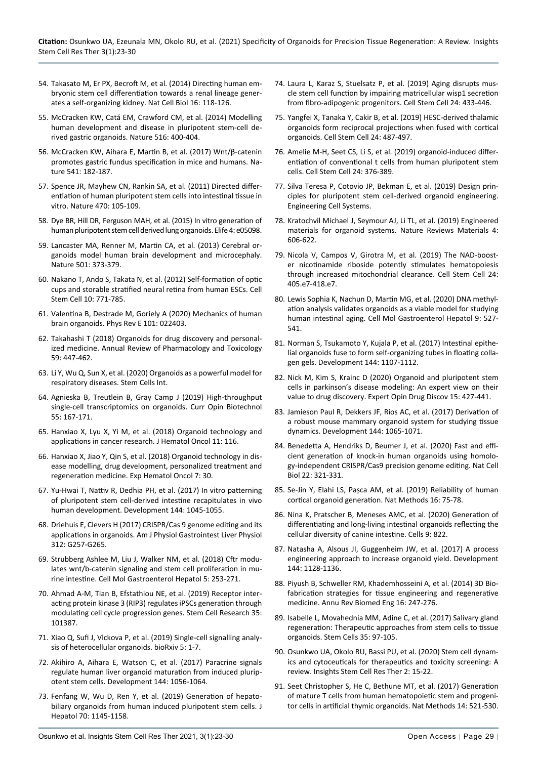- <span id="page-6-8"></span>54. [Takasato M, Er PX, Becroft M, et al. \(2014\) Directing human em](https://pubmed.ncbi.nlm.nih.gov/24335651/)[bryonic stem cell differentiation towards a renal lineage gener](https://pubmed.ncbi.nlm.nih.gov/24335651/)[ates a self-organizing kidney. Nat Cell Biol 16: 118-126.](https://pubmed.ncbi.nlm.nih.gov/24335651/)
- <span id="page-6-9"></span>55. [McCracken KW, Catá EM, Crawford CM, et al. \(2014\) Modelling](https://pubmed.ncbi.nlm.nih.gov/25363776/)  [human development and disease in pluripotent stem-cell de](https://pubmed.ncbi.nlm.nih.gov/25363776/)[rived gastric organoids. Nature 516: 400-404.](https://pubmed.ncbi.nlm.nih.gov/25363776/)
- <span id="page-6-10"></span>56. [McCracken KW, Aihara E, Martin B, et al. \(2017\) Wnt/β-catenin](https://app.dimensions.ai/details/publication/pub.1012074107)  [promotes gastric fundus specification in mice and humans. Na](https://app.dimensions.ai/details/publication/pub.1012074107)[ture 541: 182-187.](https://app.dimensions.ai/details/publication/pub.1012074107)
- <span id="page-6-11"></span>57. [Spence JR, Mayhew CN, Rankin SA, et al. \(2011\) Directed differ](https://pubmed.ncbi.nlm.nih.gov/21151107/)[entiation of human pluripotent stem cells into intestinal tissue in](https://pubmed.ncbi.nlm.nih.gov/21151107/)  [vitro. Nature 470: 105-109.](https://pubmed.ncbi.nlm.nih.gov/21151107/)
- <span id="page-6-12"></span>58. [Dye BR, Hill DR, Ferguson MAH, et al. \(2015\) In vitro generation of](https://elifesciences.org/articles/05098)  [human pluripotent stem cell derived lung organoids. Elife 4: e05098.](https://elifesciences.org/articles/05098)
- <span id="page-6-13"></span>59. [Lancaster MA, Renner M, Martin CA, et al. \(2013\) Cerebral or](https://pubmed.ncbi.nlm.nih.gov/23995685/)[ganoids model human brain development and microcephaly.](https://pubmed.ncbi.nlm.nih.gov/23995685/)  [Nature 501: 373-379.](https://pubmed.ncbi.nlm.nih.gov/23995685/)
- <span id="page-6-14"></span>60. [Nakano T, Ando S, Takata N, et al. \(2012\) Self-formation of optic](https://pubmed.ncbi.nlm.nih.gov/22704518/)  [cups and storable stratified neural retina from human ESCs. Cell](https://pubmed.ncbi.nlm.nih.gov/22704518/)  [Stem Cell 10: 771-785.](https://pubmed.ncbi.nlm.nih.gov/22704518/)
- <span id="page-6-15"></span>61. [Valentina B, Destrade M, Goriely A \(2020\) Mechanics of human](https://journals.aps.org/pre/abstract/10.1103/PhysRevE.101.022403)  [brain organoids. Phys Rev E 101: 022403.](https://journals.aps.org/pre/abstract/10.1103/PhysRevE.101.022403)
- <span id="page-6-16"></span>62. [Takahashi T \(2018\) Organoids for drug discovery and personal](https://europepmc.org/article/med/30113875)[ized medicine. Annual Review of Pharmacology and Toxicology](https://europepmc.org/article/med/30113875)  [59: 447-462.](https://europepmc.org/article/med/30113875)
- <span id="page-6-0"></span>63. [Li Y, Wu Q, Sun X, et al. \(2020\) Organoids as a powerful model for](https://pubmed.ncbi.nlm.nih.gov/32256609/)  [respiratory diseases. Stem Cells Int.](https://pubmed.ncbi.nlm.nih.gov/32256609/)
- <span id="page-6-1"></span>64. [Agnieska B, Treutlein B, Gray Camp J \(2019\) High-throughput](https://pubmed.ncbi.nlm.nih.gov/30504008/)  [single-cell transcriptomics on organoids. Curr Opin Biotechnol](https://pubmed.ncbi.nlm.nih.gov/30504008/)  [55: 167-171.](https://pubmed.ncbi.nlm.nih.gov/30504008/)
- <span id="page-6-2"></span>65. [Hanxiao X, Lyu X, Yi M, et al. \(2018\) Organoid technology and](https://pubmed.ncbi.nlm.nih.gov/30219074/)  [applications in cancer research. J Hematol Oncol 11: 116.](https://pubmed.ncbi.nlm.nih.gov/30219074/)
- <span id="page-6-3"></span>66. [Hanxiao X, Jiao Y, Qin S, et al. \(2018\) Organoid technology in dis](https://www.ncbi.nlm.nih.gov/pmc/articles/PMC6282260/)[ease modelling, drug development, personalized treatment and](https://www.ncbi.nlm.nih.gov/pmc/articles/PMC6282260/)  [regeneration medicine. Exp Hematol Oncol 7: 30.](https://www.ncbi.nlm.nih.gov/pmc/articles/PMC6282260/)
- <span id="page-6-4"></span>67. [Yu-Hwai T, Nattiv R, Dedhia PH, et al. \(2017\) In vitro patterning](https://pubmed.ncbi.nlm.nih.gov/27927684/)  [of pluripotent stem cell-derived intestine recapitulates in vivo](https://pubmed.ncbi.nlm.nih.gov/27927684/)  [human development. Development 144: 1045-1055.](https://pubmed.ncbi.nlm.nih.gov/27927684/)
- <span id="page-6-5"></span>68. [Driehuis E, Clevers H \(2017\) CRISPR/Cas 9 genome editing and its](https://pubmed.ncbi.nlm.nih.gov/28126704/)  [applications in organoids. Am J Physiol Gastrointest Liver Physiol](https://pubmed.ncbi.nlm.nih.gov/28126704/)  [312: G257-G265.](https://pubmed.ncbi.nlm.nih.gov/28126704/)
- <span id="page-6-6"></span>69. [Strubberg Ashlee M, Liu J, Walker NM, et al. \(2018\) Cftr modu](https://www.sciencedirect.com/science/article/pii/S2352345X17301741)[lates wnt/b-catenin signaling and stem cell proliferation in mu](https://www.sciencedirect.com/science/article/pii/S2352345X17301741)[rine intestine. Cell Mol Gastroenterol Hepatol 5: 253-271.](https://www.sciencedirect.com/science/article/pii/S2352345X17301741)
- <span id="page-6-7"></span>70. Ahmad A-M, Tian B, Efstathiou NE, et al. (2019) Receptor interacting protein kinase 3 (RIP3) regulates iPSCs generation through modulating cell cycle progression genes. Stem Cell Research 35: 101387.
- <span id="page-6-17"></span>71. Xiao Q, Sufi J, Vlckova P, et al. (2019) Single-cell signalling analysis of heterocellular organoids. bioRxiv 5: 1-7.
- <span id="page-6-18"></span>72. [Akihiro A, Aihara E, Watson C, et al. \(2017\) Paracrine signals](https://pubmed.ncbi.nlm.nih.gov/28275009/)  [regulate human liver organoid maturation from induced plurip](https://pubmed.ncbi.nlm.nih.gov/28275009/)[otent stem cells. Development 144: 1056-1064.](https://pubmed.ncbi.nlm.nih.gov/28275009/)
- <span id="page-6-19"></span>73. [Fenfang W, Wu D, Ren Y, et al. \(2019\) Generation of hepato](https://pubmed.ncbi.nlm.nih.gov/30630011/)[biliary organoids from human induced pluripotent stem cells. J](https://pubmed.ncbi.nlm.nih.gov/30630011/)  [Hepatol 70: 1145-1158.](https://pubmed.ncbi.nlm.nih.gov/30630011/)
- <span id="page-6-26"></span>74. [Laura L, Karaz S, Stuelsatz P, et al. \(2019\) Aging disrupts mus](https://pubmed.ncbi.nlm.nih.gov/30686765/)[cle stem cell function by impairing matricellular wisp1 secretion](https://pubmed.ncbi.nlm.nih.gov/30686765/)  [from fibro-adipogenic progenitors. Cell Stem Cell 24: 433-446.](https://pubmed.ncbi.nlm.nih.gov/30686765/)
- <span id="page-6-29"></span>75. [Yangfei X, Tanaka Y, Cakir B, et al. \(2019\) HESC-derived thalamic](https://pubmed.ncbi.nlm.nih.gov/30799279/)  [organoids form reciprocal projections when fused with cortical](https://pubmed.ncbi.nlm.nih.gov/30799279/)  [organoids. Cell Stem Cell 24: 487-497.](https://pubmed.ncbi.nlm.nih.gov/30799279/)
- <span id="page-6-30"></span>76. [Amelie M-H, Seet CS, Li S, et al. \(2019\) organoid-induced differ](https://pubmed.ncbi.nlm.nih.gov/30661959/)[entiation of conventional t cells from human pluripotent stem](https://pubmed.ncbi.nlm.nih.gov/30661959/)  [cells. Cell Stem Cell 24: 376-389.](https://pubmed.ncbi.nlm.nih.gov/30661959/)
- <span id="page-6-31"></span>77. [Silva Teresa P, Cotovio JP, Bekman E, et al. \(2019\) Design prin](https://www.hindawi.com/journals/sci/2019/4508470/)[ciples for pluripotent stem cell-derived organoid engineering.](https://www.hindawi.com/journals/sci/2019/4508470/)  [Engineering Cell Systems.](https://www.hindawi.com/journals/sci/2019/4508470/)
- <span id="page-6-32"></span>78. Kratochvil Michael J, Seymour AJ, Li TL, et al. (2019) Engineered materials for organoid systems. Nature Reviews Materials 4: 606-622.
- <span id="page-6-33"></span>79. [Nicola V, Campos V, Girotra M, et al. \(2019\) The NAD-boost](https://pubmed.ncbi.nlm.nih.gov/30849366/)[er nicotinamide riboside potently stimulates hematopoiesis](https://pubmed.ncbi.nlm.nih.gov/30849366/)  [through increased mitochondrial clearance. Cell Stem Cell 24:](https://pubmed.ncbi.nlm.nih.gov/30849366/)  [405.e7-418.e7.](https://pubmed.ncbi.nlm.nih.gov/30849366/)
- <span id="page-6-20"></span>80. [Lewis Sophia K, Nachun D, Martin MG, et al. \(2020\) DNA methyl](https://pubmed.ncbi.nlm.nih.gov/31805439/)[ation analysis validates organoids as a viable model for studying](https://pubmed.ncbi.nlm.nih.gov/31805439/)  [human intestinal aging. Cell Mol Gastroenterol Hepatol 9: 527-](https://pubmed.ncbi.nlm.nih.gov/31805439/) [541.](https://pubmed.ncbi.nlm.nih.gov/31805439/)
- <span id="page-6-21"></span>81. [Norman S, Tsukamoto Y, Kujala P, et al. \(2017\) Intestinal epithe](https://pubmed.ncbi.nlm.nih.gov/28292848/)[lial organoids fuse to form self-organizing tubes in floating colla](https://pubmed.ncbi.nlm.nih.gov/28292848/)[gen gels. Development 144: 1107-1112.](https://pubmed.ncbi.nlm.nih.gov/28292848/)
- <span id="page-6-22"></span>82. [Nick M, Kim S, Krainc D \(2020\) Organoid and pluripotent stem](https://pubmed.ncbi.nlm.nih.gov/31899983/)  [cells in parkinson's disease modeling: An expert view on their](https://pubmed.ncbi.nlm.nih.gov/31899983/)  [value to drug discovery. Expert Opin Drug Discov 15: 427-441.](https://pubmed.ncbi.nlm.nih.gov/31899983/)
- <span id="page-6-23"></span>83. [Jamieson Paul R, Dekkers JF, Rios AC, et al. \(2017\) Derivation of](https://pubmed.ncbi.nlm.nih.gov/27993977/)  [a robust mouse mammary organoid system for studying tissue](https://pubmed.ncbi.nlm.nih.gov/27993977/)  [dynamics. Development 144: 1065-1071.](https://pubmed.ncbi.nlm.nih.gov/27993977/)
- <span id="page-6-24"></span>84. [Benedetta A, Hendriks D, Beumer J, et al. \(2020\) Fast and effi](https://pubmed.ncbi.nlm.nih.gov/32123335/)[cient generation of knock-in human organoids using homolo](https://pubmed.ncbi.nlm.nih.gov/32123335/)[gy-independent CRISPR/Cas9 precision genome editing. Nat Cell](https://pubmed.ncbi.nlm.nih.gov/32123335/)  [Biol 22: 321-331.](https://pubmed.ncbi.nlm.nih.gov/32123335/)
- <span id="page-6-25"></span>85. [Se-Jin Y, Elahi LS, Pașca AM, et al. \(2019\) Reliability of human](https://pubmed.ncbi.nlm.nih.gov/30573846/)  [cortical organoid generation. Nat Methods 16: 75-78.](https://pubmed.ncbi.nlm.nih.gov/30573846/)
- <span id="page-6-27"></span>86. [Nina K, Pratscher B, Meneses AMC, et al. \(2020\) Generation of](https://www.ncbi.nlm.nih.gov/pmc/articles/PMC7226743/)  [differentiating and long-living intestinal organoids reflecting the](https://www.ncbi.nlm.nih.gov/pmc/articles/PMC7226743/)  [cellular diversity of canine intestine. Cells 9: 822.](https://www.ncbi.nlm.nih.gov/pmc/articles/PMC7226743/)
- <span id="page-6-28"></span>87. [Natasha A, Alsous JI, Guggenheim JW, et al. \(2017\) A process](https://pubmed.ncbi.nlm.nih.gov/28174251/)  [engineering approach to increase organoid yield. Development](https://pubmed.ncbi.nlm.nih.gov/28174251/)  [144: 1128-1136.](https://pubmed.ncbi.nlm.nih.gov/28174251/)
- <span id="page-6-34"></span>88. [Piyush B, Schweller RM, Khademhosseini A, et al. \(2014\) 3D Bio](https://pubmed.ncbi.nlm.nih.gov/24905875/)[fabrication strategies for tissue engineering and regenerative](https://pubmed.ncbi.nlm.nih.gov/24905875/)  [medicine. Annu Rev Biomed Eng 16: 247-276.](https://pubmed.ncbi.nlm.nih.gov/24905875/)
- <span id="page-6-35"></span>89. [Isabelle L, Movahednia MM, Adine C, et al. \(2017\) Salivary gland](https://pubmed.ncbi.nlm.nih.gov/27406006/)  [regeneration: Therapeutic approaches from stem cells to tissue](https://pubmed.ncbi.nlm.nih.gov/27406006/)  [organoids. Stem Cells 35: 97-105.](https://pubmed.ncbi.nlm.nih.gov/27406006/)
- <span id="page-6-36"></span>90. [Osunkwo UA, Okolo RU, Bassi PU, et al. \(2020\) Stem cell dynam](https://scholars.direct/Articles/stem-cell-research/iscrt-2-002.php?jid=stem-cell-research)[ics and cytoceuticals for therapeutics and toxicity screening: A](https://scholars.direct/Articles/stem-cell-research/iscrt-2-002.php?jid=stem-cell-research)  [review. Insights Stem Cell Res Ther 2: 15-22.](https://scholars.direct/Articles/stem-cell-research/iscrt-2-002.php?jid=stem-cell-research)
- <span id="page-6-37"></span>91. [Seet Christopher S, He C, Bethune MT, et al. \(2017\) Generation](https://pubmed.ncbi.nlm.nih.gov/28369043/)  [of mature T cells from human hematopoietic stem and progeni](https://pubmed.ncbi.nlm.nih.gov/28369043/)[tor cells in artificial thymic organoids. Nat Methods 14: 521-530.](https://pubmed.ncbi.nlm.nih.gov/28369043/)